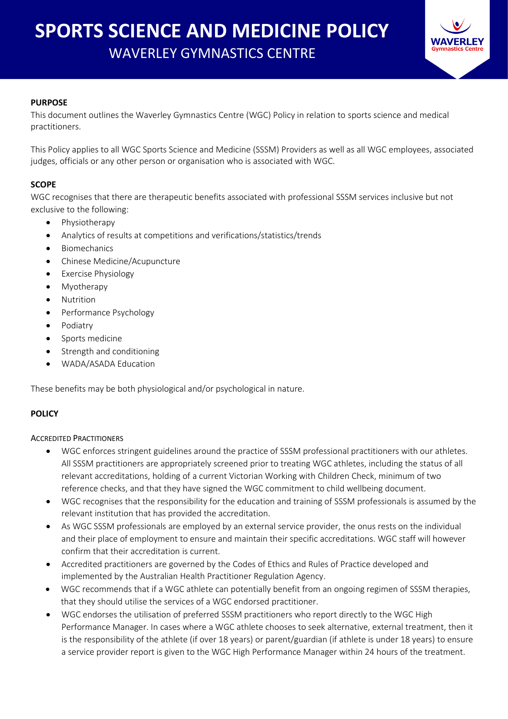

## **PURPOSE**

This document outlines the Waverley Gymnastics Centre (WGC) Policy in relation to sports science and medical practitioners.

This Policy applies to all WGC Sports Science and Medicine (SSSM) Providers as well as all WGC employees, associated judges, officials or any other person or organisation who is associated with WGC.

## **SCOPE**

WGC recognises that there are therapeutic benefits associated with professional SSSM services inclusive but not exclusive to the following:

- Physiotherapy
- Analytics of results at competitions and verifications/statistics/trends
- **Biomechanics**
- Chinese Medicine/Acupuncture
- Exercise Physiology
- Myotherapy
- **Nutrition**
- Performance Psychology
- Podiatry
- Sports medicine
- Strength and conditioning
- WADA/ASADA Education

These benefits may be both physiological and/or psychological in nature.

## **POLICY**

### ACCREDITED PRACTITIONERS

- WGC enforces stringent guidelines around the practice of SSSM professional practitioners with our athletes. All SSSM practitioners are appropriately screened prior to treating WGC athletes, including the status of all relevant accreditations, holding of a current Victorian Working with Children Check, minimum of two reference checks, and that they have signed the WGC commitment to child wellbeing document.
- WGC recognises that the responsibility for the education and training of SSSM professionals is assumed by the relevant institution that has provided the accreditation.
- As WGC SSSM professionals are employed by an external service provider, the onus rests on the individual and their place of employment to ensure and maintain their specific accreditations. WGC staff will however confirm that their accreditation is current.
- Accredited practitioners are governed by the Codes of Ethics and Rules of Practice developed and implemented by the Australian Health Practitioner Regulation Agency.
- WGC recommends that if a WGC athlete can potentially benefit from an ongoing regimen of SSSM therapies, that they should utilise the services of a WGC endorsed practitioner.
- WGC endorses the utilisation of preferred SSSM practitioners who report directly to the WGC High Performance Manager. In cases where a WGC athlete chooses to seek alternative, external treatment, then it is the responsibility of the athlete (if over 18 years) or parent/guardian (if athlete is under 18 years) to ensure a service provider report is given to the WGC High Performance Manager within 24 hours of the treatment.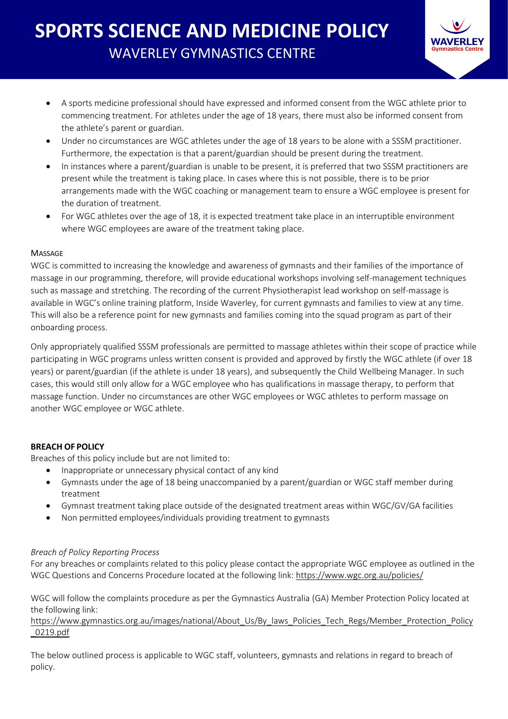

- A sports medicine professional should have expressed and informed consent from the WGC athlete prior to commencing treatment. For athletes under the age of 18 years, there must also be informed consent from the athlete's parent or guardian.
- Under no circumstances are WGC athletes under the age of 18 years to be alone with a SSSM practitioner. Furthermore, the expectation is that a parent/guardian should be present during the treatment.
- In instances where a parent/guardian is unable to be present, it is preferred that two SSSM practitioners are present while the treatment is taking place. In cases where this is not possible, there is to be prior arrangements made with the WGC coaching or management team to ensure a WGC employee is present for the duration of treatment.
- For WGC athletes over the age of 18, it is expected treatment take place in an interruptible environment where WGC employees are aware of the treatment taking place.

## **MASSAGE**

WGC is committed to increasing the knowledge and awareness of gymnasts and their families of the importance of massage in our programming, therefore, will provide educational workshops involving self-management techniques such as massage and stretching. The recording of the current Physiotherapist lead workshop on self-massage is available in WGC's online training platform, Inside Waverley, for current gymnasts and families to view at any time. This will also be a reference point for new gymnasts and families coming into the squad program as part of their onboarding process.

Only appropriately qualified SSSM professionals are permitted to massage athletes within their scope of practice while participating in WGC programs unless written consent is provided and approved by firstly the WGC athlete (if over 18 years) or parent/guardian (if the athlete is under 18 years), and subsequently the Child Wellbeing Manager. In such cases, this would still only allow for a WGC employee who has qualifications in massage therapy, to perform that massage function. Under no circumstances are other WGC employees or WGC athletes to perform massage on another WGC employee or WGC athlete.

# **BREACH OF POLICY**

Breaches of this policy include but are not limited to:

- Inappropriate or unnecessary physical contact of any kind
- Gymnasts under the age of 18 being unaccompanied by a parent/guardian or WGC staff member during treatment
- Gymnast treatment taking place outside of the designated treatment areas within WGC/GV/GA facilities
- Non permitted employees/individuals providing treatment to gymnasts

## *Breach of Policy Reporting Process*

For any breaches or complaints related to this policy please contact the appropriate WGC employee as outlined in the WGC Questions and Concerns Procedure located at the following link: <https://www.wgc.org.au/policies/>

WGC will follow the complaints procedure as per the Gymnastics Australia (GA) Member Protection Policy located at the following link:

[https://www.gymnastics.org.au/images/national/About\\_Us/By\\_laws\\_Policies\\_Tech\\_Regs/Member\\_Protection\\_Policy](https://www.gymnastics.org.au/images/national/About_Us/By_laws_Policies_Tech_Regs/Member_Protection_Policy_0219.pdf) [\\_0219.pdf](https://www.gymnastics.org.au/images/national/About_Us/By_laws_Policies_Tech_Regs/Member_Protection_Policy_0219.pdf)

The below outlined process is applicable to WGC staff, volunteers, gymnasts and relations in regard to breach of policy.